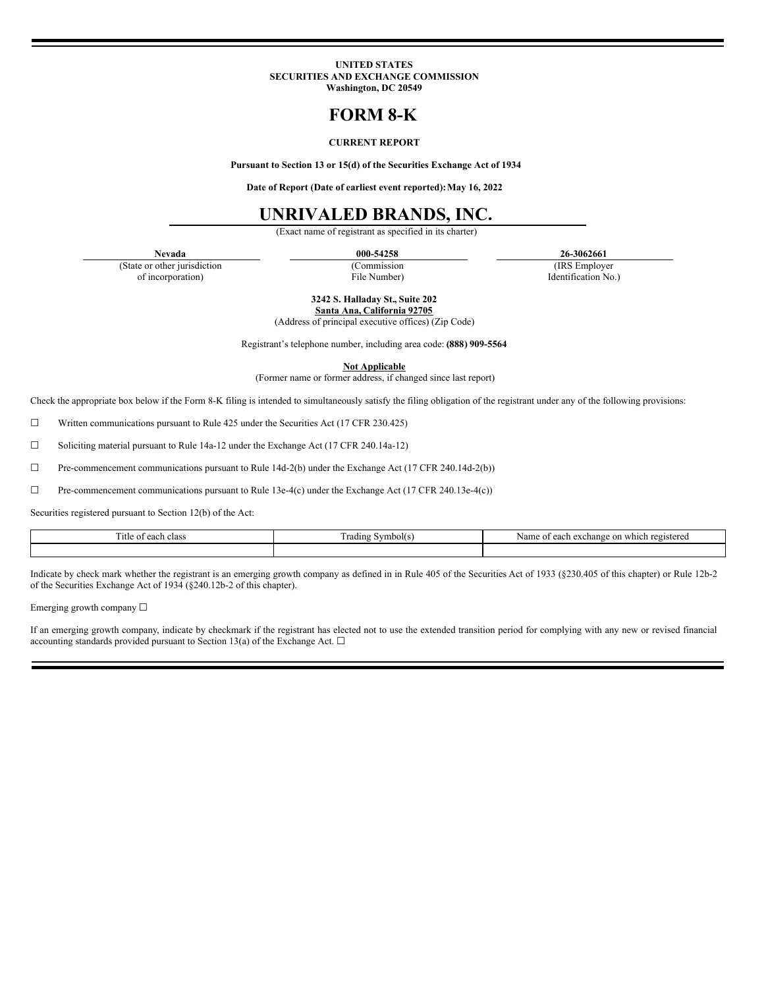#### **UNITED STATES SECURITIES AND EXCHANGE COMMISSION Washington, DC 20549**

# **FORM 8-K**

## **CURRENT REPORT**

**Pursuant to Section 13 or 15(d) of the Securities Exchange Act of 1934**

**Date of Report (Date of earliest event reported):May 16, 2022**

## **UNRIVALED BRANDS, INC.**

(Exact name of registrant as specified in its charter)

(State or other jurisdiction of incorporation)

(Commission File Number)

**Nevada 000-54258 26-3062661** (IRS Employer

Identification No.)

**3242 S. Halladay St., Suite 202 Santa Ana, California 92705**

(Address of principal executive offices) (Zip Code)

Registrant's telephone number, including area code: **(888) 909-5564**

**Not Applicable**

(Former name or former address, if changed since last report)

Check the appropriate box below if the Form 8-K filing is intended to simultaneously satisfy the filing obligation of the registrant under any of the following provisions:

☐ Written communications pursuant to Rule 425 under the Securities Act (17 CFR 230.425)

☐ Soliciting material pursuant to Rule 14a-12 under the Exchange Act (17 CFR 240.14a-12)

☐ Pre-commencement communications pursuant to Rule 14d-2(b) under the Exchange Act (17 CFR 240.14d-2(b))

☐ Pre-commencement communications pursuant to Rule 13e-4(c) under the Exchange Act (17 CFR 240.13e-4(c))

Securities registered pursuant to Section 12(b) of the Act:

| $\sim$<br>l'itle<br>class<br>∩1<br>∍au m | radıng<br>Symbol(s) | Name<br>reach exchange<br>registered<br>which<br><sub>on</sub><br>$\sim$<br>,,, |
|------------------------------------------|---------------------|---------------------------------------------------------------------------------|
|                                          |                     |                                                                                 |

Indicate by check mark whether the registrant is an emerging growth company as defined in in Rule 405 of the Securities Act of 1933 (§230.405 of this chapter) or Rule 12b-2 of the Securities Exchange Act of 1934 (§240.12b-2 of this chapter).

Emerging growth company ☐

If an emerging growth company, indicate by checkmark if the registrant has elected not to use the extended transition period for complying with any new or revised financial accounting standards provided pursuant to Section 13(a) of the Exchange Act.  $\square$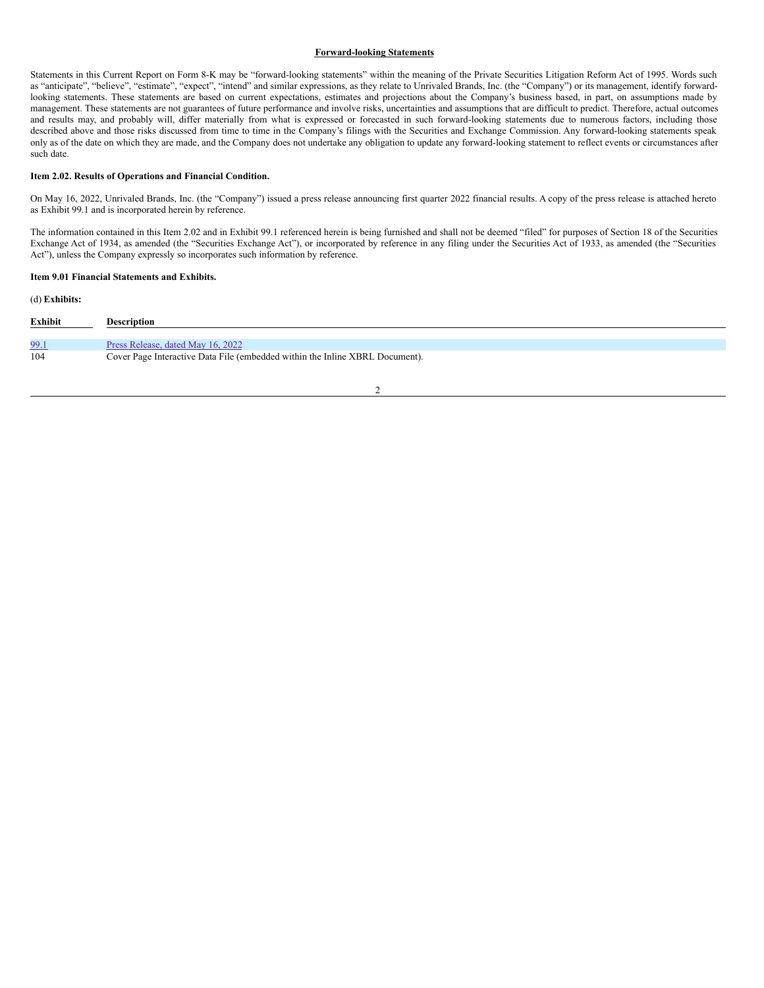## **Forward-looking Statements**

Statements in this Current Report on Form 8-K may be "forward-looking statements" within the meaning of the Private Securities Litigation Reform Act of 1995. Words such as "anticipate", "believe", "estimate", "expect", "intend" and similar expressions, as they relate to Unrivaled Brands, Inc. (the "Company") or its management, identify forwardlooking statements. These statements are based on current expectations, estimates and projections about the Company's business based, in part, on assumptions made by management. These statements are not guarantees of future performance and involve risks, uncertainties and assumptions that are difficult to predict. Therefore, actual outcomes and results may, and probably will, differ materially from what is expressed or forecasted in such forward-looking statements due to numerous factors, including those described above and those risks discussed from time to time in the Company's filings with the Securities and Exchange Commission. Any forward-looking statements speak only as of the date on which they are made, and the Company does not undertake any obligation to update any forward-looking statement to reflect events or circumstances after such date.

## **Item 2.02. Results of Operations and Financial Condition.**

On May 16, 2022, Unrivaled Brands, Inc. (the "Company") issued a press release announcing first quarter 2022 financial results. A copy of the press release is attached hereto as Exhibit 99.1 and is incorporated herein by reference.

The information contained in this Item 2.02 and in Exhibit 99.1 referenced herein is being furnished and shall not be deemed "filed" for purposes of Section 18 of the Securities Exchange Act of 1934, as amended (the "Securities Exchange Act"), or incorporated by reference in any filing under the Securities Act of 1933, as amended (the "Securities Act"), unless the Company expressly so incorporates such information by reference.

#### **Item 9.01 Financial Statements and Exhibits.**

## (d) **Exhibits:**

| <b>Exhibit</b> | <b>Description</b>                                                           |
|----------------|------------------------------------------------------------------------------|
| <u>99.1</u>    | Press Release, dated May 16, 2022                                            |
| 104            | Cover Page Interactive Data File (embedded within the Inline XBRL Document). |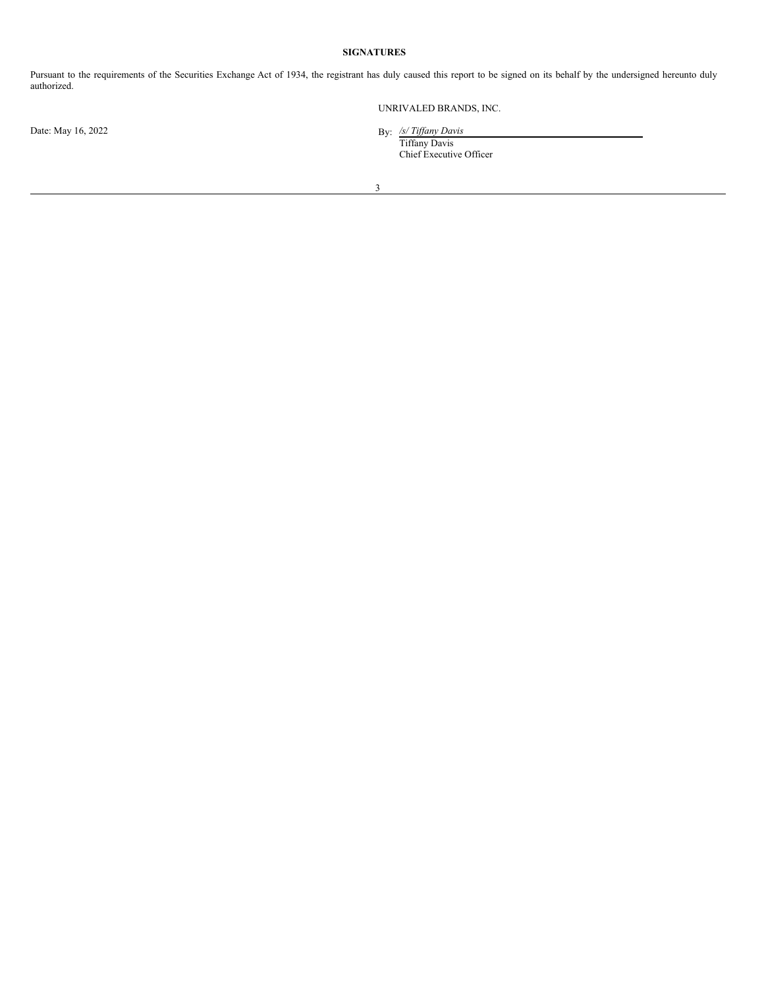## **SIGNATURES**

Pursuant to the requirements of the Securities Exchange Act of 1934, the registrant has duly caused this report to be signed on its behalf by the undersigned hereunto duly authorized.

UNRIVALED BRANDS, INC.

Date: May 16, 2022 By: /s/ *Tiffany Davis* 

Tiffany Davis Chief Executive Officer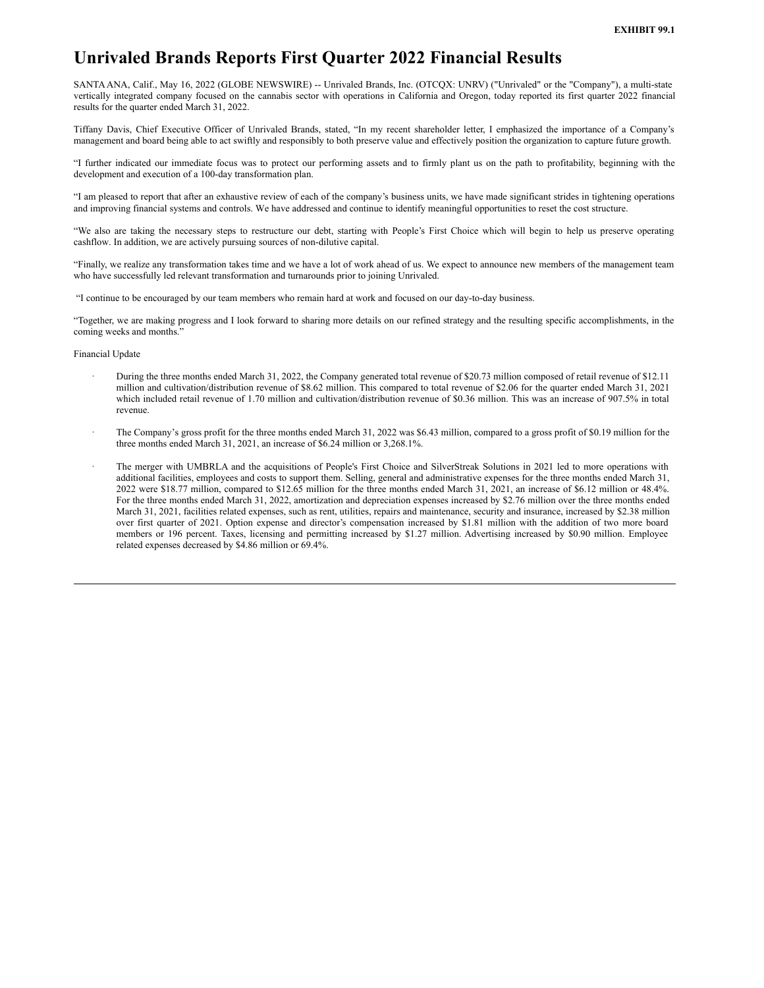## **Unrivaled Brands Reports First Quarter 2022 Financial Results**

SANTAANA, Calif., May 16, 2022 (GLOBE NEWSWIRE) -- Unrivaled Brands, Inc. (OTCQX: UNRV) ("Unrivaled" or the "Company"), a multi-state vertically integrated company focused on the cannabis sector with operations in California and Oregon, today reported its first quarter 2022 financial results for the quarter ended March 31, 2022.

Tiffany Davis, Chief Executive Officer of Unrivaled Brands, stated, "In my recent shareholder letter, I emphasized the importance of a Company's management and board being able to act swiftly and responsibly to both preserve value and effectively position the organization to capture future growth.

"I further indicated our immediate focus was to protect our performing assets and to firmly plant us on the path to profitability, beginning with the development and execution of a 100-day transformation plan.

"I am pleased to report that after an exhaustive review of each of the company's business units, we have made significant strides in tightening operations and improving financial systems and controls. We have addressed and continue to identify meaningful opportunities to reset the cost structure.

"We also are taking the necessary steps to restructure our debt, starting with People's First Choice which will begin to help us preserve operating cashflow. In addition, we are actively pursuing sources of non-dilutive capital.

"Finally, we realize any transformation takes time and we have a lot of work ahead of us. We expect to announce new members of the management team who have successfully led relevant transformation and turnarounds prior to joining Unrivaled.

"I continue to be encouraged by our team members who remain hard at work and focused on our day-to-day business.

"Together, we are making progress and I look forward to sharing more details on our refined strategy and the resulting specific accomplishments, in the coming weeks and months."

#### Financial Update

- · During the three months ended March 31, 2022, the Company generated total revenue of \$20.73 million composed of retail revenue of \$12.11 million and cultivation/distribution revenue of \$8.62 million. This compared to total revenue of \$2.06 for the quarter ended March 31, 2021 which included retail revenue of 1.70 million and cultivation/distribution revenue of \$0.36 million. This was an increase of 907.5% in total revenue.
- The Company's gross profit for the three months ended March 31, 2022 was \$6.43 million, compared to a gross profit of \$0.19 million for the three months ended March 31, 2021, an increase of \$6.24 million or 3,268.1%.
- The merger with UMBRLA and the acquisitions of People's First Choice and SilverStreak Solutions in 2021 led to more operations with additional facilities, employees and costs to support them. Selling, general and administrative expenses for the three months ended March 31, 2022 were \$18.77 million, compared to \$12.65 million for the three months ended March 31, 2021, an increase of \$6.12 million or 48.4%. For the three months ended March 31, 2022, amortization and depreciation expenses increased by \$2.76 million over the three months ended March 31, 2021, facilities related expenses, such as rent, utilities, repairs and maintenance, security and insurance, increased by \$2.38 million over first quarter of 2021. Option expense and director's compensation increased by \$1.81 million with the addition of two more board members or 196 percent. Taxes, licensing and permitting increased by \$1.27 million. Advertising increased by \$0.90 million. Employee related expenses decreased by \$4.86 million or 69.4%.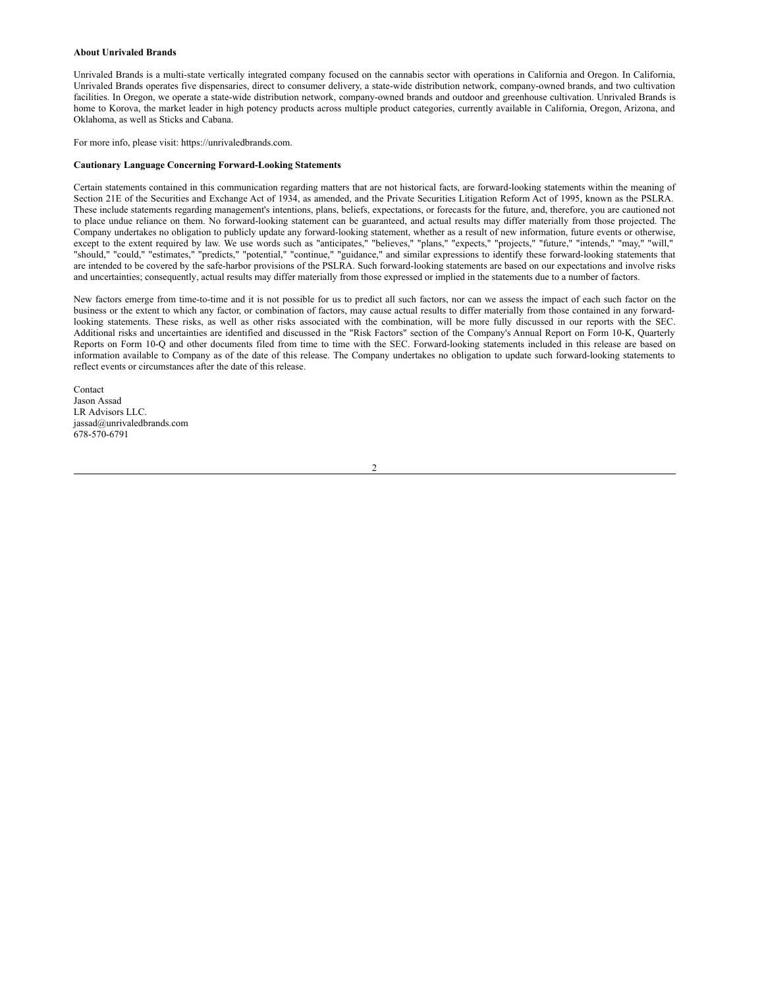### <span id="page-4-0"></span>**About Unrivaled Brands**

Unrivaled Brands is a multi-state vertically integrated company focused on the cannabis sector with operations in California and Oregon. In California, Unrivaled Brands operates five dispensaries, direct to consumer delivery, a state-wide distribution network, company-owned brands, and two cultivation facilities. In Oregon, we operate a state-wide distribution network, company-owned brands and outdoor and greenhouse cultivation. Unrivaled Brands is home to Korova, the market leader in high potency products across multiple product categories, currently available in California, Oregon, Arizona, and Oklahoma, as well as Sticks and Cabana.

For more info, please visit: https://unrivaledbrands.com.

### **Cautionary Language Concerning Forward-Looking Statements**

Certain statements contained in this communication regarding matters that are not historical facts, are forward-looking statements within the meaning of Section 21E of the Securities and Exchange Act of 1934, as amended, and the Private Securities Litigation Reform Act of 1995, known as the PSLRA. These include statements regarding management's intentions, plans, beliefs, expectations, or forecasts for the future, and, therefore, you are cautioned not to place undue reliance on them. No forward-looking statement can be guaranteed, and actual results may differ materially from those projected. The Company undertakes no obligation to publicly update any forward-looking statement, whether as a result of new information, future events or otherwise, except to the extent required by law. We use words such as "anticipates," "believes," "plans," "expects," "projects," "future," "intends," "may," "will," "should," "could," "estimates," "predicts," "potential," "continue," "guidance," and similar expressions to identify these forward-looking statements that are intended to be covered by the safe-harbor provisions of the PSLRA. Such forward-looking statements are based on our expectations and involve risks and uncertainties; consequently, actual results may differ materially from those expressed or implied in the statements due to a number of factors.

New factors emerge from time-to-time and it is not possible for us to predict all such factors, nor can we assess the impact of each such factor on the business or the extent to which any factor, or combination of factors, may cause actual results to differ materially from those contained in any forwardlooking statements. These risks, as well as other risks associated with the combination, will be more fully discussed in our reports with the SEC. Additional risks and uncertainties are identified and discussed in the "Risk Factors" section of the Company's Annual Report on Form 10-K, Quarterly Reports on Form 10-Q and other documents filed from time to time with the SEC. Forward-looking statements included in this release are based on information available to Company as of the date of this release. The Company undertakes no obligation to update such forward-looking statements to reflect events or circumstances after the date of this release.

Contact Jason Assad LR Advisors LLC. jassad@unrivaledbrands.com 678-570-6791

2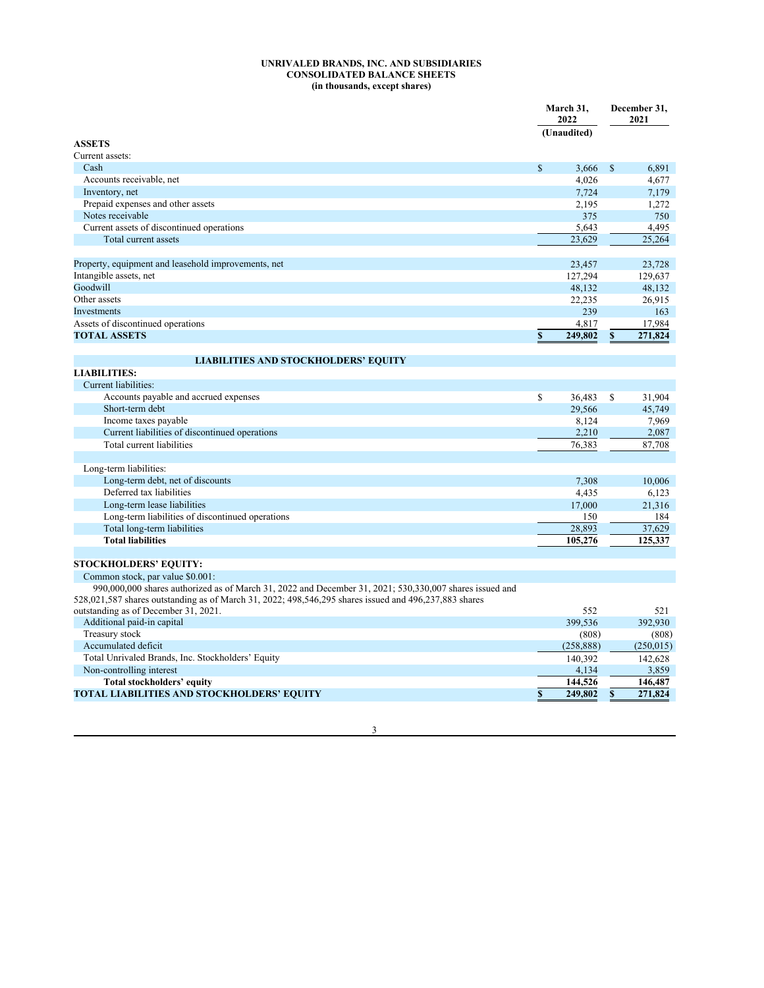## **UNRIVALED BRANDS, INC. AND SUBSIDIARIES CONSOLIDATED BALANCE SHEETS (in thousands, except shares)**

|                                                                                                         |              | March 31,<br>2022 |              | December 31,<br>2021 |  |
|---------------------------------------------------------------------------------------------------------|--------------|-------------------|--------------|----------------------|--|
|                                                                                                         |              | (Unaudited)       |              |                      |  |
| <b>ASSETS</b>                                                                                           |              |                   |              |                      |  |
| Current assets:                                                                                         |              |                   |              |                      |  |
| Cash                                                                                                    | $\mathbb{S}$ | 3.666             | $\mathbf S$  | 6,891                |  |
| Accounts receivable, net                                                                                |              | 4,026             |              | 4,677                |  |
| Inventory, net                                                                                          |              | 7,724             |              | 7,179                |  |
| Prepaid expenses and other assets                                                                       |              | 2,195             |              | 1,272                |  |
| Notes receivable                                                                                        |              | 375               |              | 750                  |  |
| Current assets of discontinued operations                                                               |              | 5,643             |              | 4,495                |  |
| Total current assets                                                                                    |              | 23,629            |              | 25,264               |  |
| Property, equipment and leasehold improvements, net                                                     |              |                   |              |                      |  |
| Intangible assets, net                                                                                  |              | 23,457            |              | 23,728               |  |
| Goodwill                                                                                                |              | 127,294           |              | 129,637              |  |
| Other assets                                                                                            |              | 48,132            |              | 48,132               |  |
|                                                                                                         |              | 22,235            |              | 26,915               |  |
| Investments<br>Assets of discontinued operations                                                        |              | 239               |              | 163<br>17,984        |  |
| <b>TOTAL ASSETS</b>                                                                                     | \$           | 4,817<br>249,802  | $\mathbf{s}$ | 271,824              |  |
|                                                                                                         |              |                   |              |                      |  |
| <b>LIABILITIES AND STOCKHOLDERS' EQUITY</b>                                                             |              |                   |              |                      |  |
| <b>LIABILITIES:</b>                                                                                     |              |                   |              |                      |  |
| <b>Current liabilities:</b>                                                                             |              |                   |              |                      |  |
| Accounts payable and accrued expenses                                                                   | \$           | 36,483            | S            | 31,904               |  |
| Short-term debt                                                                                         |              | 29,566            |              | 45,749               |  |
| Income taxes payable                                                                                    |              | 8,124             |              | 7,969                |  |
| Current liabilities of discontinued operations                                                          |              | 2,210             |              | 2,087                |  |
| Total current liabilities                                                                               |              | 76,383            |              | 87,708               |  |
|                                                                                                         |              |                   |              |                      |  |
| Long-term liabilities:                                                                                  |              |                   |              |                      |  |
| Long-term debt, net of discounts                                                                        |              | 7,308             |              | 10,006               |  |
| Deferred tax liabilities                                                                                |              | 4,435             |              | 6,123                |  |
| Long-term lease liabilities                                                                             |              | 17,000            |              | 21,316               |  |
| Long-term liabilities of discontinued operations                                                        |              | 150               |              | 184                  |  |
| Total long-term liabilities                                                                             |              | 28,893            |              | 37,629               |  |
| <b>Total liabilities</b>                                                                                |              | 105,276           |              | 125,337              |  |
|                                                                                                         |              |                   |              |                      |  |
| <b>STOCKHOLDERS' EQUITY:</b>                                                                            |              |                   |              |                      |  |
| Common stock, par value \$0.001:                                                                        |              |                   |              |                      |  |
| 990,000,000 shares authorized as of March 31, 2022 and December 31, 2021; 530,330,007 shares issued and |              |                   |              |                      |  |
| 528,021,587 shares outstanding as of March 31, 2022; 498,546,295 shares issued and 496,237,883 shares   |              |                   |              |                      |  |
| outstanding as of December 31, 2021.                                                                    |              | 552               |              | 521                  |  |
| Additional paid-in capital                                                                              |              | 399,536           |              | 392,930              |  |
| Treasury stock                                                                                          |              | (808)             |              | (808)                |  |
| Accumulated deficit                                                                                     |              | (258, 888)        |              | (250, 015)           |  |
| Total Unrivaled Brands, Inc. Stockholders' Equity                                                       |              | 140,392           |              | 142,628              |  |
| Non-controlling interest                                                                                |              | 4,134             |              | 3,859                |  |
| Total stockholders' equity                                                                              |              | 144,526           |              | 146,487              |  |
| TOTAL LIABILITIES AND STOCKHOLDERS' EQUITY                                                              | \$           | 249,802           | \$           | 271,824              |  |
|                                                                                                         |              |                   |              |                      |  |

3